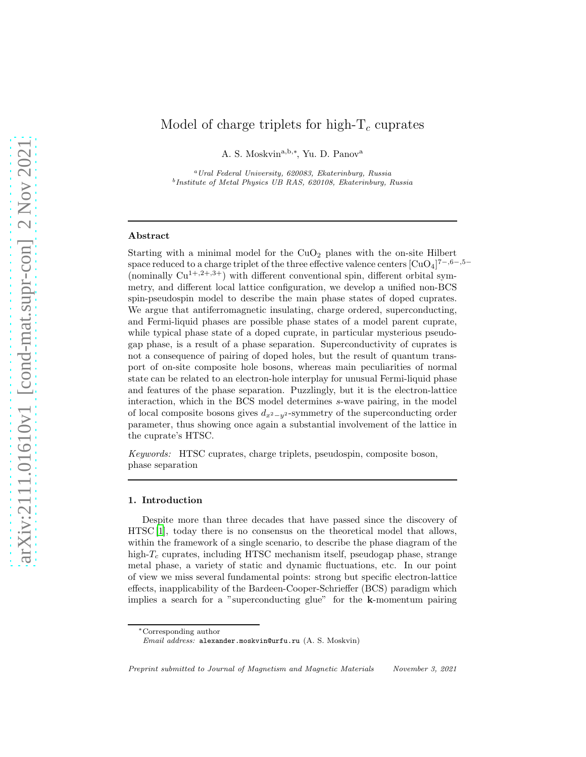# Model of charge triplets for high- $T_c$  cuprates

A. S. Moskvin<sup>a,b,∗</sup>, Yu. D. Panov<sup>a</sup>

<sup>a</sup>Ural Federal University, 620083, Ekaterinburg, Russia <sup>b</sup>Institute of Metal Physics UB RAS, 620108, Ekaterinburg, Russia

#### Abstract

Starting with a minimal model for the  $CuO<sub>2</sub>$  planes with the on-site Hilbert space reduced to a charge triplet of the three effective valence centers  $\rm [CuO_4]^{7-,6-,5-}$ (nominally  $Cu^{1+,2+,3+}$ ) with different conventional spin, different orbital symmetry, and different local lattice configuration, we develop a unified non-BCS spin-pseudospin model to describe the main phase states of doped cuprates. We argue that antiferromagnetic insulating, charge ordered, superconducting, and Fermi-liquid phases are possible phase states of a model parent cuprate, while typical phase state of a doped cuprate, in particular mysterious pseudogap phase, is a result of a phase separation. Superconductivity of cuprates is not a consequence of pairing of doped holes, but the result of quantum transport of on-site composite hole bosons, whereas main peculiarities of normal state can be related to an electron-hole interplay for unusual Fermi-liquid phase and features of the phase separation. Puzzlingly, but it is the electron-lattice interaction, which in the BCS model determines s-wave pairing, in the model of local composite bosons gives  $d_{x^2-y^2}$ -symmetry of the superconducting order parameter, thus showing once again a substantial involvement of the lattice in the cuprate's HTSC.

Keywords: HTSC cuprates, charge triplets, pseudospin, composite boson, phase separation

## 1. Introduction

Despite more than three decades that have passed since the discovery of HTSC [\[1\]](#page-18-0), today there is no consensus on the theoretical model that allows, within the framework of a single scenario, to describe the phase diagram of the high- $T_c$  cuprates, including HTSC mechanism itself, pseudogap phase, strange metal phase, a variety of static and dynamic fluctuations, etc. In our point of view we miss several fundamental points: strong but specific electron-lattice effects, inapplicability of the Bardeen-Cooper-Schrieffer (BCS) paradigm which implies a search for a "superconducting glue" for the k-momentum pairing

<sup>∗</sup>Corresponding author

Email address: alexander.moskvin@urfu.ru (A. S. Moskvin)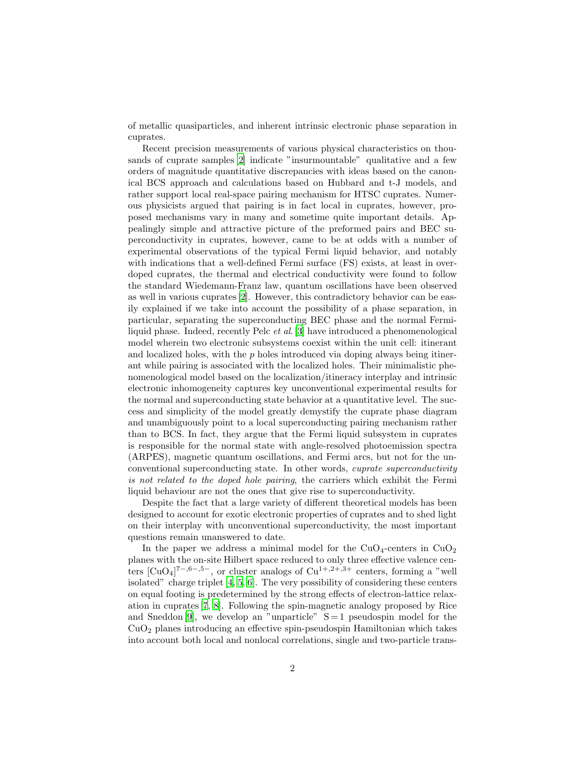of metallic quasiparticles, and inherent intrinsic electronic phase separation in cuprates.

Recent precision measurements of various physical characteristics on thousands of cuprate samples [\[2](#page-18-1)] indicate "insurmountable" qualitative and a few orders of magnitude quantitative discrepancies with ideas based on the canonical BCS approach and calculations based on Hubbard and t-J models, and rather support local real-space pairing mechanism for HTSC cuprates. Numerous physicists argued that pairing is in fact local in cuprates, however, proposed mechanisms vary in many and sometime quite important details. Appealingly simple and attractive picture of the preformed pairs and BEC superconductivity in cuprates, however, came to be at odds with a number of experimental observations of the typical Fermi liquid behavior, and notably with indications that a well-defined Fermi surface (FS) exists, at least in overdoped cuprates, the thermal and electrical conductivity were found to follow the standard Wiedemann-Franz law, quantum oscillations have been observed as well in various cuprates [\[2\]](#page-18-1). However, this contradictory behavior can be easily explained if we take into account the possibility of a phase separation, in particular, separating the superconducting BEC phase and the normal Fermiliquid phase. Indeed, recently Pelc et al. [\[3\]](#page-18-2) have introduced a phenomenological model wherein two electronic subsystems coexist within the unit cell: itinerant and localized holes, with the  $p$  holes introduced via doping always being itinerant while pairing is associated with the localized holes. Their minimalistic phenomenological model based on the localization/itineracy interplay and intrinsic electronic inhomogeneity captures key unconventional experimental results for the normal and superconducting state behavior at a quantitative level. The success and simplicity of the model greatly demystify the cuprate phase diagram and unambiguously point to a local superconducting pairing mechanism rather than to BCS. In fact, they argue that the Fermi liquid subsystem in cuprates is responsible for the normal state with angle-resolved photoemission spectra (ARPES), magnetic quantum oscillations, and Fermi arcs, but not for the unconventional superconducting state. In other words, cuprate superconductivity is not related to the doped hole pairing, the carriers which exhibit the Fermi liquid behaviour are not the ones that give rise to superconductivity.

Despite the fact that a large variety of different theoretical models has been designed to account for exotic electronic properties of cuprates and to shed light on their interplay with unconventional superconductivity, the most important questions remain unanswered to date.

In the paper we address a minimal model for the  $CuO<sub>4</sub>$ -centers in  $CuO<sub>2</sub>$ planes with the on-site Hilbert space reduced to only three effective valence centers  $\text{[CuO4]}^{7-,6-,5-}$ , or cluster analogs of  $\text{Cu}^{1+,2+,3+}$  centers, forming a "well isolated" charge triplet [\[4](#page-18-3), [5,](#page-18-4) [6\]](#page-18-5). The very possibility of considering these centers on equal footing is predetermined by the strong effects of electron-lattice relaxation in cuprates [\[7](#page-18-6), [8](#page-18-7)]. Following the spin-magnetic analogy proposed by Rice and Sneddon [\[9\]](#page-18-8), we develop an "unparticle"  $S = 1$  pseudospin model for the  $CuO<sub>2</sub>$  planes introducing an effective spin-pseudospin Hamiltonian which takes into account both local and nonlocal correlations, single and two-particle trans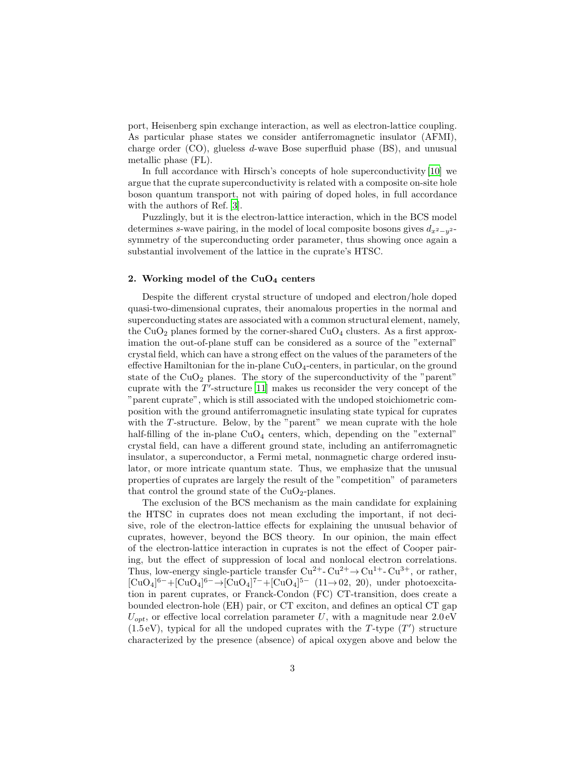port, Heisenberg spin exchange interaction, as well as electron-lattice coupling. As particular phase states we consider antiferromagnetic insulator (AFMI), charge order (CO), glueless d-wave Bose superfluid phase (BS), and unusual metallic phase (FL).

In full accordance with Hirsch's concepts of hole superconductivity [\[10\]](#page-18-9) we argue that the cuprate superconductivity is related with a composite on-site hole boson quantum transport, not with pairing of doped holes, in full accordance with the authors of Ref. [\[3](#page-18-2)].

Puzzlingly, but it is the electron-lattice interaction, which in the BCS model determines s-wave pairing, in the model of local composite bosons gives  $d_{x^2-y^2}$ . symmetry of the superconducting order parameter, thus showing once again a substantial involvement of the lattice in the cuprate's HTSC.

## 2. Working model of the  $CuO<sub>4</sub>$  centers

Despite the different crystal structure of undoped and electron/hole doped quasi-two-dimensional cuprates, their anomalous properties in the normal and superconducting states are associated with a common structural element, namely, the  $CuO<sub>2</sub>$  planes formed by the corner-shared  $CuO<sub>4</sub>$  clusters. As a first approximation the out-of-plane stuff can be considered as a source of the "external" crystal field, which can have a strong effect on the values of the parameters of the effective Hamiltonian for the in-plane  $CuO<sub>4</sub>$ -centers, in particular, on the ground state of the  $CuO<sub>2</sub>$  planes. The story of the superconductivity of the "parent" cuprate with the  $T'$ -structure [\[11\]](#page-18-10) makes us reconsider the very concept of the "parent cuprate", which is still associated with the undoped stoichiometric composition with the ground antiferromagnetic insulating state typical for cuprates with the  $T$ -structure. Below, by the "parent" we mean cuprate with the hole half-filling of the in-plane  $CuO<sub>4</sub>$  centers, which, depending on the "external" crystal field, can have a different ground state, including an antiferromagnetic insulator, a superconductor, a Fermi metal, nonmagnetic charge ordered insulator, or more intricate quantum state. Thus, we emphasize that the unusual properties of cuprates are largely the result of the "competition" of parameters that control the ground state of the  $CuO<sub>2</sub>$ -planes.

The exclusion of the BCS mechanism as the main candidate for explaining the HTSC in cuprates does not mean excluding the important, if not decisive, role of the electron-lattice effects for explaining the unusual behavior of cuprates, however, beyond the BCS theory. In our opinion, the main effect of the electron-lattice interaction in cuprates is not the effect of Cooper pairing, but the effect of suppression of local and nonlocal electron correlations. Thus, low-energy single-particle transfer  $Cu^{2+}$ - $Cu^{2+}$  $\rightarrow Cu^{1+}$ - $Cu^{3+}$ , or rather,  $[CuO_4]^{6-}+[CuO_4]^{6-} \rightarrow [CuO_4]^{7-}+[CuO_4]^{5-} (11 \rightarrow 02, 20)$ , under photoexcitation in parent cuprates, or Franck-Condon (FC) CT-transition, does create a bounded electron-hole (EH) pair, or CT exciton, and defines an optical CT gap  $U_{\text{opt}}$ , or effective local correlation parameter U, with a magnitude near  $2.0 \text{ eV}$  $(1.5 \text{ eV})$ , typical for all the undoped cuprates with the T-type  $(T')$  structure characterized by the presence (absence) of apical oxygen above and below the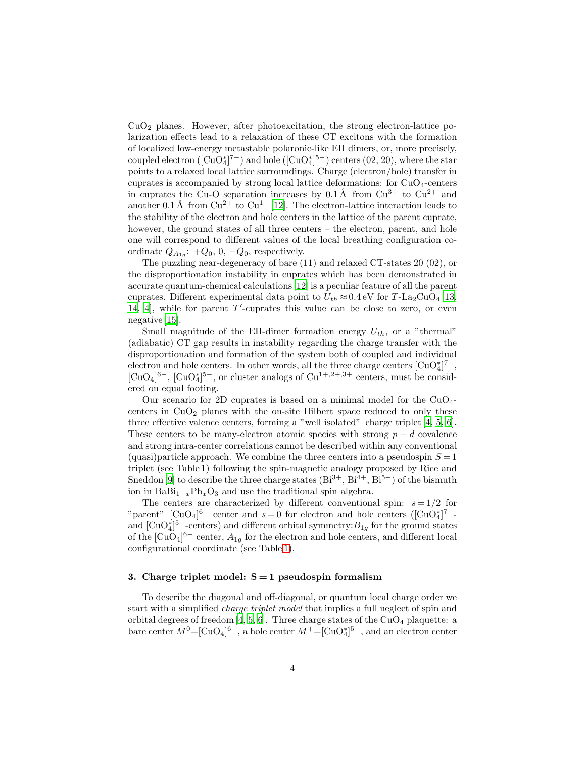$CuO<sub>2</sub>$  planes. However, after photoexcitation, the strong electron-lattice polarization effects lead to a relaxation of these CT excitons with the formation of localized low-energy metastable polaronic-like EH dimers, or, more precisely, coupled electron  $([CuO<sub>4</sub><sup>*</sup>]<sup>7</sup>-)$  and hole  $([CuO<sub>4</sub><sup>*</sup>]<sup>5</sup>-)$  centers  $(02, 20)$ , where the star points to a relaxed local lattice surroundings. Charge (electron/hole) transfer in cuprates is accompanied by strong local lattice deformations: for  $CuO<sub>4</sub>$ -centers in cuprates the Cu-O separation increases by  $0.1 \text{ Å}$  from  $Cu^{3+}$  to  $Cu^{2+}$  and another 0.1 Å from  $Cu^{2+}$  to  $Cu^{1+}$  [\[12](#page-18-11)]. The electron-lattice interaction leads to the stability of the electron and hole centers in the lattice of the parent cuprate, however, the ground states of all three centers – the electron, parent, and hole one will correspond to different values of the local breathing configuration coordinate  $Q_{A_{1g}}$ : + $Q_0$ , 0, - $Q_0$ , respectively.

The puzzling near-degeneracy of bare (11) and relaxed CT-states 20 (02), or the disproportionation instability in cuprates which has been demonstrated in accurate quantum-chemical calculations [\[12\]](#page-18-11) is a peculiar feature of all the parent cuprates. Different experimental data point to  $U_{th} \approx 0.4 \text{ eV}$  for T-La<sub>2</sub>CuO<sub>4</sub> [\[13,](#page-18-12) [14,](#page-18-13) [4](#page-18-3)], while for parent T ′ -cuprates this value can be close to zero, or even negative [\[15](#page-18-14)].

Small magnitude of the EH-dimer formation energy  $U_{th}$ , or a "thermal" (adiabatic) CT gap results in instability regarding the charge transfer with the disproportionation and formation of the system both of coupled and individual electron and hole centers. In other words, all the three charge centers  $\text{[CuO}_4^*]^7$ <sup>-</sup>,  $\text{[CuO}_4]^6$ <sup>-</sup>,  $\text{[CuO}_4^*]^5$ <sup>-</sup>, or cluster analogs of  $\text{Cu}^{1+,2+,3+}$  centers, must be considered on equal footing.

Our scenario for 2D cuprates is based on a minimal model for the  $CuO<sub>4</sub>$ centers in  $CuO<sub>2</sub>$  planes with the on-site Hilbert space reduced to only these three effective valence centers, forming a "well isolated" charge triplet [\[4,](#page-18-3) [5,](#page-18-4) [6\]](#page-18-5). These centers to be many-electron atomic species with strong  $p - d$  covalence and strong intra-center correlations cannot be described within any conventional (quasi)particle approach. We combine the three centers into a pseudospin  $S = 1$ triplet (see Table 1) following the spin-magnetic analogy proposed by Rice and Sneddon [\[9](#page-18-8)] to describe the three charge states  $(Bi^{3+}, Bi^{4+}, Bi^{5+})$  of the bismuth ion in BaBi<sub>1−x</sub>Pb<sub>x</sub>O<sub>3</sub> and use the traditional spin algebra.

The centers are characterized by different conventional spin:  $s = 1/2$  for "parent" [CuO<sub>4</sub>]<sup>6–</sup> center and  $s=0$  for electron and hole centers ([CuO<sup>\*</sup><sub>4</sub>]<sup>7–</sup>and  $[\text{CuO}_4^*]$ <sup>5-</sup>-centers) and different orbital symmetry: $B_{1g}$  for the ground states of the  $\text{[CuO<sub>4</sub>]}^{6-}$  center,  $A_{1g}$  for the electron and hole centers, and different local configurational coordinate (see Table [1\)](#page-4-0).

## 3. Charge triplet model:  $S = 1$  pseudospin formalism

To describe the diagonal and off-diagonal, or quantum local charge order we start with a simplified charge triplet model that implies a full neglect of spin and orbital degrees of freedom [\[4,](#page-18-3) [5](#page-18-4), [6\]](#page-18-5). Three charge states of the  $CuO<sub>4</sub>$  plaquette: a bare center  $M^0 = [CuO_4]^{6-}$ , a hole center  $M^+ = [CuO_4^*]^{5-}$ , and an electron center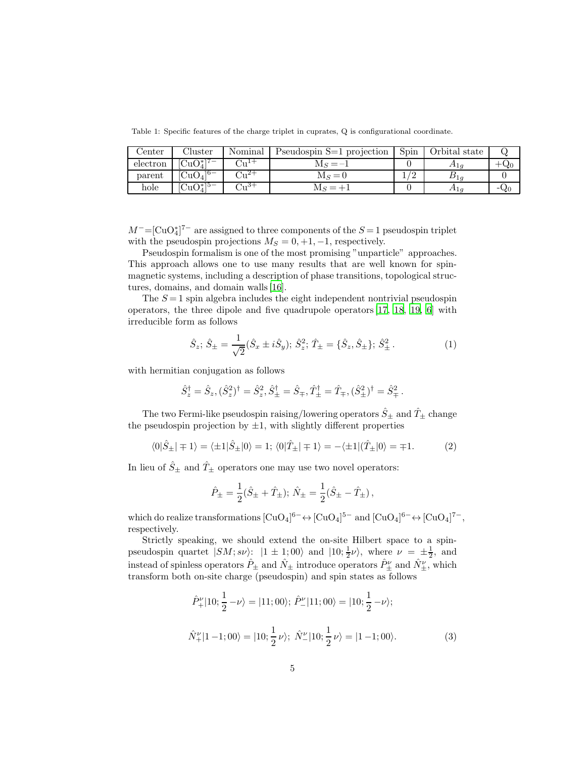<span id="page-4-0"></span>Table 1: Specific features of the charge triplet in cuprates, Q is configurational coordinate.

| ${\rm Center}$ | Cluster                                       | Nominal | Pseudospin S=1 projection | Spin | Orbital state            |     |
|----------------|-----------------------------------------------|---------|---------------------------|------|--------------------------|-----|
| electron       | $\overline{\text{CuO}}_{4}^{*}$ <sup>7-</sup> | ד⊥,,וי  | $M_S = -1$                |      | $\pi_{1g}$               | ∿∠চ |
| parent         | $\overline{\mathrm{CuO}_4\vert^{6-}}$         |         | $M_s = 0$                 |      | $\mathcal{L}$ 1 $\sigma$ |     |
| hole           | $\rm CuO_4^*$ <sup>5-</sup>                   | +∘س' ،  |                           |      | $\pi_{1g}$               | -90 |

 $M^-$ =[CuO<sub>4</sub><sup>\*</sup>]<sup>7-</sup> are assigned to three components of the  $S=1$  pseudospin triplet with the pseudospin projections  $M_S = 0, +1, -1$ , respectively.

Pseudospin formalism is one of the most promising "unparticle" approaches. This approach allows one to use many results that are well known for spinmagnetic systems, including a description of phase transitions, topological structures, domains, and domain walls [\[16](#page-19-0)].

The  $S = 1$  spin algebra includes the eight independent nontrivial pseudospin operators, the three dipole and five quadrupole operators [\[17,](#page-19-1) [18,](#page-19-2) [19,](#page-19-3) [6](#page-18-5)] with irreducible form as follows

$$
\hat{S}_z; \hat{S}_{\pm} = \frac{1}{\sqrt{2}} (\hat{S}_x \pm i\hat{S}_y); \hat{S}_z^2; \hat{T}_{\pm} = {\hat{S}_z, \hat{S}_{\pm}}; \hat{S}_{\pm}^2.
$$
 (1)

with hermitian conjugation as follows

$$
\hat{S}_z^{\dagger} = \hat{S}_z, (\hat{S}_z^2)^{\dagger} = \hat{S}_z^2, \hat{S}_\pm^{\dagger} = \hat{S}_\mp, \hat{T}_\pm^{\dagger} = \hat{T}_\mp, (\hat{S}_\pm^2)^{\dagger} = \hat{S}_\mp^2.
$$

The two Fermi-like pseudospin raising/lowering operators  $\hat{S}_{\pm}$  and  $\hat{T}_{\pm}$  change the pseudospin projection by  $\pm 1$ , with slightly different properties

$$
\langle 0|\hat{S}_{\pm}| \mp 1 \rangle = \langle \pm 1|\hat{S}_{\pm}|0 \rangle = 1; \langle 0|\hat{T}_{\pm}| \mp 1 \rangle = -\langle \pm 1|(\hat{T}_{\pm}|0 \rangle = \mp 1. \tag{2}
$$

In lieu of  $\hat{S}_{\pm}$  and  $\hat{T}_{\pm}$  operators one may use two novel operators:

$$
\hat{P}_{\pm} = \frac{1}{2}(\hat{S}_{\pm} + \hat{T}_{\pm}); \ \hat{N}_{\pm} = \frac{1}{2}(\hat{S}_{\pm} - \hat{T}_{\pm}),
$$

which do realize transformations  $[CuO_4]^{6-} \leftrightarrow [CuO_4]^{5-}$  and  $[CuO_4]^{6-} \leftrightarrow [CuO_4]^{7-}$ , respectively.

Strictly speaking, we should extend the on-site Hilbert space to a spinpseudospin quartet  $|SM; s\nu\rangle$ :  $|1 \pm 1; 00\rangle$  and  $|10; \frac{1}{2}\nu\rangle$ , where  $\nu = \pm \frac{1}{2}$ , and instead of spinless operators  $\hat{P}_{\pm}$  and  $\hat{N}_{\pm}$  introduce operators  $\hat{P}_{\pm}^{\nu}$  and  $\hat{N}_{\pm}^{\nu}$ , which transform both on-site charge (pseudospin) and spin states as follows

$$
\hat{P}_{+}^{\nu}|10;\frac{1}{2}-\nu\rangle = |11;00\rangle; \hat{P}_{-}^{\nu}|11;00\rangle = |10;\frac{1}{2}-\nu\rangle;
$$
  

$$
\hat{N}_{+}^{\nu}|1-1;00\rangle = |10;\frac{1}{2}\nu\rangle; \hat{N}_{-}^{\nu}|10;\frac{1}{2}\nu\rangle = |1-1;00\rangle.
$$
 (3)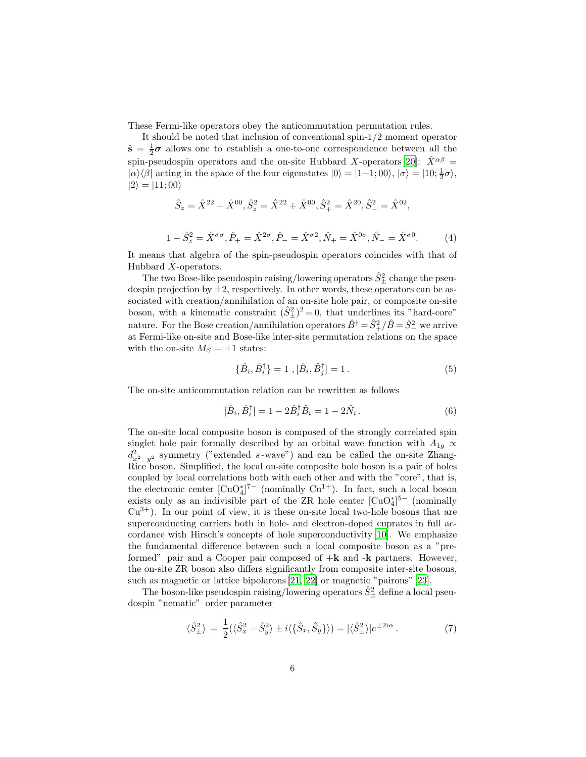These Fermi-like operators obey the anticommutation permutation rules.

It should be noted that inclusion of conventional spin-1/2 moment operator  $\hat{s} = \frac{1}{2}\sigma$  allows one to establish a one-to-one correspondence between all the spin-pseudospin operators and the on-site Hubbard X-operators [\[20\]](#page-19-4):  $\hat{X}^{\alpha\beta}$  =  $|\alpha\rangle\langle\beta|$  acting in the space of the four eigenstates  $|0\rangle = |1-1;00\rangle, |\sigma\rangle = |10;\frac{1}{2}\sigma\rangle$ ,  $|2\rangle = |11;00\rangle$ 

$$
\hat{S}_z = \hat{X}^{22} - \hat{X}^{00}, \hat{S}_z^2 = \hat{X}^{22} + \hat{X}^{00}, \hat{S}_+^2 = \hat{X}^{20}, \hat{S}_-^2 = \hat{X}^{02},
$$

It means that algebra of the spin-pseudospin operators coincides with that of Hubbard  $\hat{X}$ -operators.

 $1 - \hat{S}_z^2 = \hat{X}^{\sigma\sigma}, \hat{P}_+ = \hat{X}^{2\sigma}, \hat{P}_- = \hat{X}^{\sigma 2}, \hat{N}_+ = \hat{X}^{0\sigma}, \hat{N}_- = \hat{X}^{\sigma 0}$ 

The two Bose-like pseudospin raising/lowering operators  $\hat{S}^2_{\pm}$  change the pseudospin projection by  $\pm 2$ , respectively. In other words, these operators can be associated with creation/annihilation of an on-site hole pair, or composite on-site boson, with a kinematic constraint  $(\hat{S}_{\pm}^2)^2 = 0$ , that underlines its "hard-core" nature. For the Bose creation/annihilation operators  $\hat{B}^{\dagger} = \hat{S}_{+}^{2}/\hat{B} = \hat{S}_{-}^{2}$  we arrive at Fermi-like on-site and Bose-like inter-site permutation relations on the space with the on-site  $M_S = \pm 1$  states:

$$
\{\hat{B}_i, \hat{B}_i^{\dagger}\} = 1 \ , [\hat{B}_i, \hat{B}_j^{\dagger}] = 1 \ . \tag{5}
$$

 $(4)$ 

The on-site anticommutation relation can be rewritten as follows

$$
[\hat{B}_i, \hat{B}_i^{\dagger}] = 1 - 2\hat{B}_i^{\dagger} \hat{B}_i = 1 - 2\hat{N}_i.
$$
 (6)

The on-site local composite boson is composed of the strongly correlated spin singlet hole pair formally described by an orbital wave function with  $A_{1g} \propto$  $d_{x^2-y^2}^2$  symmetry ("extended s-wave") and can be called the on-site Zhang-Rice boson. Simplified, the local on-site composite hole boson is a pair of holes coupled by local correlations both with each other and with the "core", that is, the electronic center  $[\text{CuO}_4^*]^{7-}$  (nominally  $\text{Cu}^{1+}$ ). In fact, such a local boson exists only as an indivisible part of the ZR hole center  $\lbrack CuO_4^* \rbrack^{5-}$  (nominally  $Cu^{3+}$ ). In our point of view, it is these on-site local two-hole bosons that are superconducting carriers both in hole- and electron-doped cuprates in full accordance with Hirsch's concepts of hole superconductivity [\[10\]](#page-18-9). We emphasize the fundamental difference between such a local composite boson as a "preformed" pair and a Cooper pair composed of  $+k$  and  $-k$  partners. However, the on-site ZR boson also differs significantly from composite inter-site bosons, such as magnetic or lattice bipolarons [\[21](#page-19-5), [22\]](#page-19-6) or magnetic "pairons" [\[23](#page-19-7)].

The boson-like pseudospin raising/lowering operators  $\hat{S}^2_{\pm}$  define a local pseudospin "nematic" order parameter

$$
\langle \hat{S}_{\pm}^2 \rangle = \frac{1}{2} (\langle \hat{S}_x^2 - \hat{S}_y^2 \rangle \pm i \langle \{\hat{S}_x, \hat{S}_y\} \rangle) = |\langle \hat{S}_{\pm}^2 \rangle| e^{\pm 2i\alpha} . \tag{7}
$$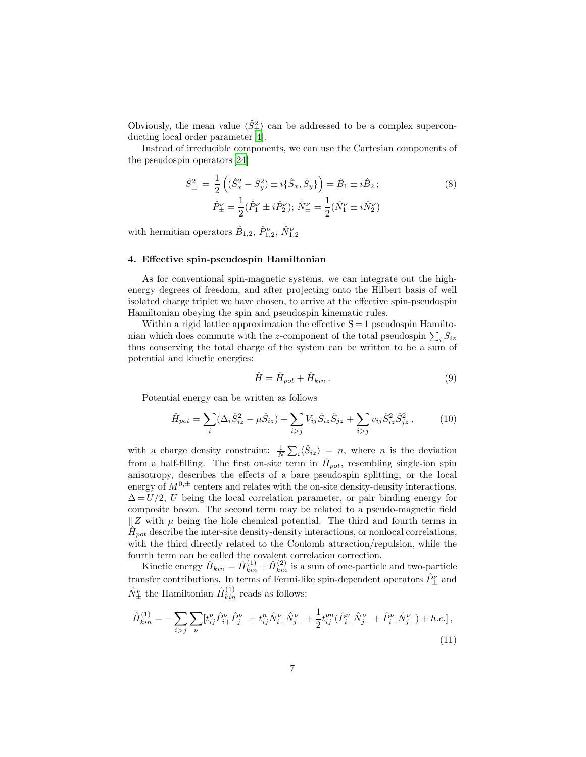Obviously, the mean value  $\langle \hat{S}_{\pm}^2 \rangle$  can be addressed to be a complex superconducting local order parameter [\[4](#page-18-3)].

Instead of irreducible components, we can use the Cartesian components of the pseudospin operators [\[24](#page-19-8)]

$$
\hat{S}_{\pm}^{2} = \frac{1}{2} \left( (\hat{S}_{x}^{2} - \hat{S}_{y}^{2}) \pm i \{\hat{S}_{x}, \hat{S}_{y}\} \right) = \hat{B}_{1} \pm i \hat{B}_{2};
$$
\n
$$
\hat{P}_{\pm}^{\nu} = \frac{1}{2} (\hat{P}_{1}^{\nu} \pm i \hat{P}_{2}^{\nu}); \ \hat{N}_{\pm}^{\nu} = \frac{1}{2} (\hat{N}_{1}^{\nu} \pm i \hat{N}_{2}^{\nu})
$$
\n(8)

with hermitian operators  $\hat{B}_{1,2}$ ,  $\hat{P}_{1,2}^{\nu}$ ,  $\hat{N}_{1,2}^{\nu}$ 

#### 4. Effective spin-pseudospin Hamiltonian

As for conventional spin-magnetic systems, we can integrate out the highenergy degrees of freedom, and after projecting onto the Hilbert basis of well isolated charge triplet we have chosen, to arrive at the effective spin-pseudospin Hamiltonian obeying the spin and pseudospin kinematic rules.

Within a rigid lattice approximation the effective  $S = 1$  pseudospin Hamiltonian which does commute with the z-component of the total pseudospin  $\sum_i S_{iz}$ thus conserving the total charge of the system can be written to be a sum of potential and kinetic energies:

<span id="page-6-0"></span>
$$
\hat{H} = \hat{H}_{pot} + \hat{H}_{kin} \,. \tag{9}
$$

Potential energy can be written as follows

$$
\hat{H}_{pot} = \sum_{i} (\Delta_i \hat{S}_{iz}^2 - \mu \hat{S}_{iz}) + \sum_{i > j} V_{ij} \hat{S}_{iz} \hat{S}_{jz} + \sum_{i > j} v_{ij} \hat{S}_{iz}^2 \hat{S}_{jz}^2, \qquad (10)
$$

with a charge density constraint:  $\frac{1}{N} \sum_i \langle \hat{S}_{iz} \rangle = n$ , where *n* is the deviation from a half-filling. The first on-site term in  $\hat{H}_{pot}$ , resembling single-ion spin anisotropy, describes the effects of a bare pseudospin splitting, or the local energy of  $M^{0,\pm}$  centers and relates with the on-site density-density interactions,  $\Delta = U/2$ , U being the local correlation parameter, or pair binding energy for composite boson. The second term may be related to a pseudo-magnetic field  $\parallel Z$  with  $\mu$  being the hole chemical potential. The third and fourth terms in  $\hat{H}_{pot}$  describe the inter-site density-density interactions, or nonlocal correlations, with the third directly related to the Coulomb attraction/repulsion, while the fourth term can be called the covalent correlation correction.

Kinetic energy  $\hat{H}_{kin} = \hat{H}_{kin}^{(1)} + \hat{H}_{kin}^{(2)}$  is a sum of one-particle and two-particle transfer contributions. In terms of Fermi-like spin-dependent operators  $\hat{P}_{\pm}^{\nu}$  and  $\hat{N}_{\pm}^{\nu}$  the Hamiltonian  $\hat{H}_{kin}^{(1)}$  reads as follows:

<span id="page-6-1"></span>
$$
\hat{H}^{(1)}_{kin} = -\sum_{i>j} \sum_{\nu} [t^p_{ij} \hat{P}^{\nu}_{i+} \hat{P}^{\nu}_{j-} + t^n_{ij} \hat{N}^{\nu}_{i+} \hat{N}^{\nu}_{j-} + \frac{1}{2} t^{pn}_{ij} (\hat{P}^{\nu}_{i+} \hat{N}^{\nu}_{j-} + \hat{P}^{\nu}_{i-} \hat{N}^{\nu}_{j+}) + h.c.],
$$
\n(11)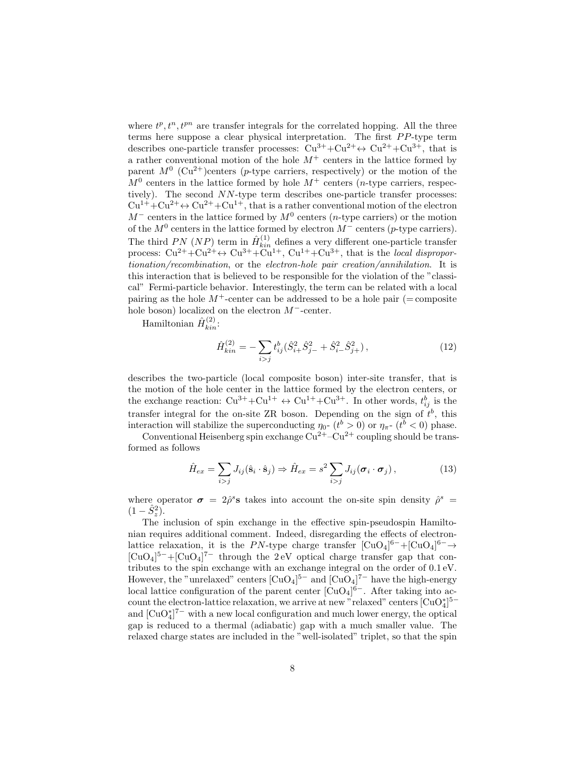where  $t^p, t^n, t^{pn}$  are transfer integrals for the correlated hopping. All the three terms here suppose a clear physical interpretation. The first PP-type term describes one-particle transfer processes:  $Cu^{3+}+Cu^{2+} \leftrightarrow Cu^{2+}+Cu^{3+}$ , that is a rather conventional motion of the hole  $M^+$  centers in the lattice formed by parent  $M^0$  (Cu<sup>2+</sup>)centers (p-type carriers, respectively) or the motion of the  $M^0$  centers in the lattice formed by hole  $M^+$  centers (*n*-type carriers, respectively). The second NN-type term describes one-particle transfer processes:  $Cu^{1+}+Cu^{2+} \leftrightarrow Cu^{2+}+Cu^{1+}$ , that is a rather conventional motion of the electron  $M^-$  centers in the lattice formed by  $M^0$  centers (*n*-type carriers) or the motion of the  $M^0$  centers in the lattice formed by electron  $M^-$  centers (p-type carriers). The third PN (NP) term in  $\hat{H}^{(1)}_{kin}$  defines a very different one-particle transfer process:  $Cu^{2+}+Cu^{2+} \leftrightarrow Cu^{3+}+Cu^{1+}$ ,  $Cu^{1+}+Cu^{3+}$ , that is the *local dispropor*tionation/recombination, or the electron-hole pair creation/annihilation. It is this interaction that is believed to be responsible for the violation of the "classical" Fermi-particle behavior. Interestingly, the term can be related with a local pairing as the hole  $M^+$ -center can be addressed to be a hole pair (= composite hole boson) localized on the electron M−-center.

Hamiltonian  $\hat{H}^{(2)}_{kin}$ :

$$
\hat{H}_{kin}^{(2)} = -\sum_{i>j} t_{ij}^b (\hat{S}_{i+}^2 \hat{S}_{j-}^2 + \hat{S}_{i-}^2 \hat{S}_{j+}^2), \qquad (12)
$$

describes the two-particle (local composite boson) inter-site transfer, that is the motion of the hole center in the lattice formed by the electron centers, or the exchange reaction:  $Cu^{3+}+Cu^{1+} \leftrightarrow Cu^{1+}+Cu^{3+}$ . In other words,  $t_{ij}^b$  is the transfer integral for the on-site ZR boson. Depending on the sign of  $t^b$ , this interaction will stabilize the superconducting  $\eta_0$ -  $(t^b > 0)$  or  $\eta_{\pi}$ -  $(t^b < 0)$  phase.

Conventional Heisenberg spin exchange  $Cu^{2+}-Cu^{2+}$  coupling should be transformed as follows

$$
\hat{H}_{ex} = \sum_{i>j} J_{ij} (\hat{\mathbf{s}}_i \cdot \hat{\mathbf{s}}_j) \Rightarrow \hat{H}_{ex} = s^2 \sum_{i>j} J_{ij} (\boldsymbol{\sigma}_i \cdot \boldsymbol{\sigma}_j), \tag{13}
$$

where operator  $\sigma = 2\hat{\rho}^s$  takes into account the on-site spin density  $\hat{\rho}^s$  =  $(1-\hat{S}_z^2).$ 

The inclusion of spin exchange in the effective spin-pseudospin Hamiltonian requires additional comment. Indeed, disregarding the effects of electronlattice relaxation, it is the PN-type charge transfer  $[CuO<sub>4</sub>]<sup>6-</sup>+[CuO<sub>4</sub>]<sup>6-</sup> \rightarrow$  $\text{[CuO}_4]^{\mathbf{5}-}+\text{[CuO}_4]^{\mathbf{7}-}$  through the 2 eV optical charge transfer gap that contributes to the spin exchange with an exchange integral on the order of 0.1 eV. However, the "unrelaxed" centers  $\lbrack CuO_4 \rbrack^{5-}$  and  $\lbrack CuO_4 \rbrack^{7-}$  have the high-energy local lattice configuration of the parent center  $\lbrack CuO_4 \rbrack^{6-}$ . After taking into account the electron-lattice relaxation, we arrive at new "relaxed" centers  $\text{[CuO}_4^{*}]^{5-}$ and  $\left[\mathrm{CuO}_{4}^*\right]^{7-}$  with a new local configuration and much lower energy, the optical gap is reduced to a thermal (adiabatic) gap with a much smaller value. The relaxed charge states are included in the "well-isolated" triplet, so that the spin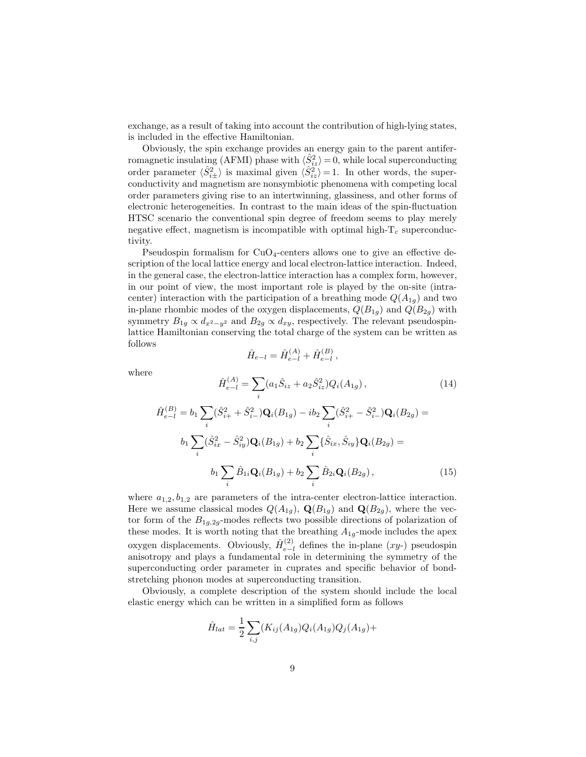exchange, as a result of taking into account the contribution of high-lying states, is included in the effective Hamiltonian.

Obviously, the spin exchange provides an energy gain to the parent antiferromagnetic insulating (AFMI) phase with  $\langle \hat{S}_{iz}^2 \rangle = 0$ , while local superconducting order parameter  $\langle \hat{S}_{i\pm}^2 \rangle$  is maximal given  $\langle \hat{S}_{iz}^2 \rangle = 1$ . In other words, the superconductivity and magnetism are nonsymbiotic phenomena with competing local order parameters giving rise to an intertwinning, glassiness, and other forms of electronic heterogeneities. In contrast to the main ideas of the spin-fluctuation HTSC scenario the conventional spin degree of freedom seems to play merely negative effect, magnetism is incompatible with optimal high- $T_c$  superconductivity.

Pseudospin formalism for  $CuO<sub>4</sub>$ -centers allows one to give an effective description of the local lattice energy and local electron-lattice interaction. Indeed, in the general case, the electron-lattice interaction has a complex form, however, in our point of view, the most important role is played by the on-site (intracenter) interaction with the participation of a breathing mode  $Q(A_{1g})$  and two in-plane rhombic modes of the oxygen displacements,  $Q(B_{1g})$  and  $Q(B_{2g})$  with symmetry  $B_{1g} \propto d_{x^2-y^2}$  and  $B_{2g} \propto d_{xy}$ , respectively. The relevant pseudospinlattice Hamiltonian conserving the total charge of the system can be written as follows

$$
\hat{H}_{e-l} = \hat{H}_{e-l}^{(A)} + \hat{H}_{e-l}^{(B)},
$$

where

$$
\hat{H}_{e-l}^{(A)} = \sum_{i} (a_1 \hat{S}_{iz} + a_2 \hat{S}_{iz}^2) Q_i(A_{1g}), \qquad (14)
$$
\n
$$
\hat{H}_{e-l}^{(B)} = b_1 \sum_{i} (\hat{S}_{i+}^2 + \hat{S}_{i-}^2) \mathbf{Q}_i(B_{1g}) - ib_2 \sum_{i} (\hat{S}_{i+}^2 - \hat{S}_{i-}^2) \mathbf{Q}_i(B_{2g}) =
$$
\n
$$
b_1 \sum_{i} (\hat{S}_{ix}^2 - \hat{S}_{iy}^2) \mathbf{Q}_i(B_{1g}) + b_2 \sum_{i} {\hat{S}_{ix}, \hat{S}_{iy}} \mathbf{Q}_i(B_{2g}) =
$$
\n
$$
b_1 \sum_{i} \hat{B}_{1i} \mathbf{Q}_i(B_{1g}) + b_2 \sum_{i} \hat{B}_{2i} \mathbf{Q}_i(B_{2g}), \qquad (15)
$$

i

where  $a_{1,2}, b_{1,2}$  are parameters of the intra-center electron-lattice interaction. Here we assume classical modes  $Q(A_{1g})$ ,  $\mathbf{Q}(B_{1g})$  and  $\mathbf{Q}(B_{2g})$ , where the vector form of the  $B_{1g,2g}$ -modes reflects two possible directions of polarization of these modes. It is worth noting that the breathing  $A_{1g}$ -mode includes the apex oxygen displacements. Obviously,  $\hat{H}^{(2)}_{e-1}$  $e^{-l}$  defines the in-plane (xy-) pseudospin anisotropy and plays a fundamental role in determining the symmetry of the superconducting order parameter in cuprates and specific behavior of bondstretching phonon modes at superconducting transition.

i

Obviously, a complete description of the system should include the local elastic energy which can be written in a simplified form as follows

$$
\hat{H}_{lat} = \frac{1}{2} \sum_{i,j} (K_{ij}(A_{1g}) Q_i(A_{1g}) Q_j(A_{1g}) +
$$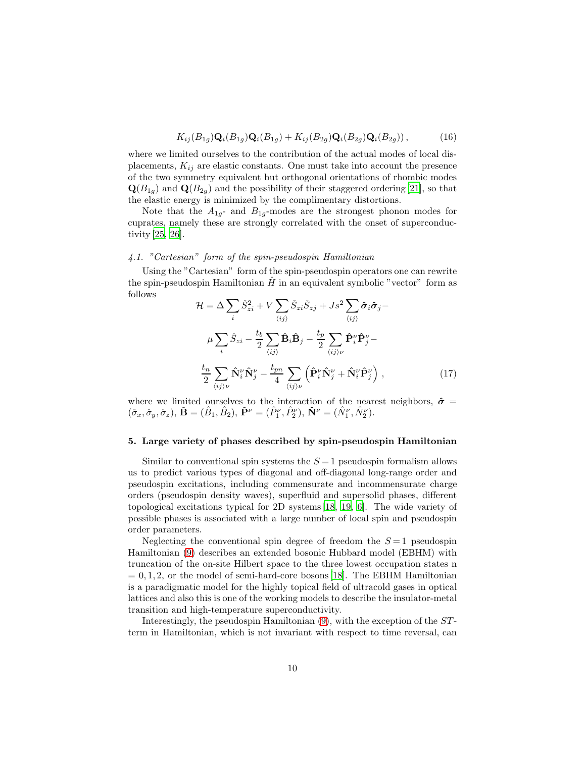$$
K_{ij}(B_{1g})\mathbf{Q}_i(B_{1g})\mathbf{Q}_i(B_{1g}) + K_{ij}(B_{2g})\mathbf{Q}_i(B_{2g})\mathbf{Q}_i(B_{2g}))\,,\tag{16}
$$

where we limited ourselves to the contribution of the actual modes of local displacements,  $K_{ij}$  are elastic constants. One must take into account the presence of the two symmetry equivalent but orthogonal orientations of rhombic modes  $\mathbf{Q}(B_{1q})$  and  $\mathbf{Q}(B_{2q})$  and the possibility of their staggered ordering [\[21](#page-19-5)], so that the elastic energy is minimized by the complimentary distortions.

Note that the  $A_{1g}$ - and  $B_{1g}$ -modes are the strongest phonon modes for cuprates, namely these are strongly correlated with the onset of superconductivity [\[25,](#page-19-9) [26\]](#page-19-10).

## 4.1. "Cartesian" form of the spin-pseudospin Hamiltonian

Using the "Cartesian" form of the spin-pseudospin operators one can rewrite the spin-pseudospin Hamiltonian  $\hat{H}$  in an equivalent symbolic "vector" form as follows

$$
\mathcal{H} = \Delta \sum_{i} \hat{S}_{zi}^{2} + V \sum_{\langle ij \rangle} \hat{S}_{zi} \hat{S}_{zj} + Js^{2} \sum_{\langle ij \rangle} \hat{\sigma}_{i} \hat{\sigma}_{j} -
$$
\n
$$
\mu \sum_{i} \hat{S}_{zi} - \frac{t_{b}}{2} \sum_{\langle ij \rangle} \hat{\mathbf{B}}_{i} \hat{\mathbf{B}}_{j} - \frac{t_{p}}{2} \sum_{\langle ij \rangle \nu} \hat{\mathbf{P}}_{i}^{\nu} \hat{\mathbf{P}}_{j}^{\nu} -
$$
\n
$$
\frac{t_{n}}{2} \sum_{\langle ij \rangle \nu} \hat{\mathbf{N}}_{i}^{\nu} \hat{\mathbf{N}}_{j}^{\nu} - \frac{t_{pn}}{4} \sum_{\langle ij \rangle \nu} \left( \hat{\mathbf{P}}_{i}^{\nu} \hat{\mathbf{N}}_{j}^{\nu} + \hat{\mathbf{N}}_{i}^{\nu} \hat{\mathbf{P}}_{j}^{\nu} \right), \qquad (17)
$$

<span id="page-9-0"></span>where we limited ourselves to the interaction of the nearest neighbors,  $\hat{\sigma} =$  $(\hat{\sigma}_x, \hat{\sigma}_y, \hat{\sigma}_z), \,\hat{\mathbf{B}} = (\hat{B}_1, \hat{B}_2), \,\hat{\mathbf{P}}^{\nu} = (\hat{P}_1^{\nu}, \hat{P}_2^{\nu}), \,\hat{\mathbf{N}}^{\nu} = (\hat{N}_1^{\nu}, \hat{N}_2^{\nu}).$ 

#### 5. Large variety of phases described by spin-pseudospin Hamiltonian

Similar to conventional spin systems the  $S = 1$  pseudospin formalism allows us to predict various types of diagonal and off-diagonal long-range order and pseudospin excitations, including commensurate and incommensurate charge orders (pseudospin density waves), superfluid and supersolid phases, different topological excitations typical for 2D systems [\[18](#page-19-2), [19,](#page-19-3) [6\]](#page-18-5). The wide variety of possible phases is associated with a large number of local spin and pseudospin order parameters.

Neglecting the conventional spin degree of freedom the  $S = 1$  pseudospin Hamiltonian [\(9\)](#page-6-0) describes an extended bosonic Hubbard model (EBHM) with truncation of the on-site Hilbert space to the three lowest occupation states n  $= 0, 1, 2$ , or the model of semi-hard-core bosons [\[18\]](#page-19-2). The EBHM Hamiltonian is a paradigmatic model for the highly topical field of ultracold gases in optical lattices and also this is one of the working models to describe the insulator-metal transition and high-temperature superconductivity.

Interestingly, the pseudospin Hamiltonian  $(9)$ , with the exception of the  $ST$ term in Hamiltonian, which is not invariant with respect to time reversal, can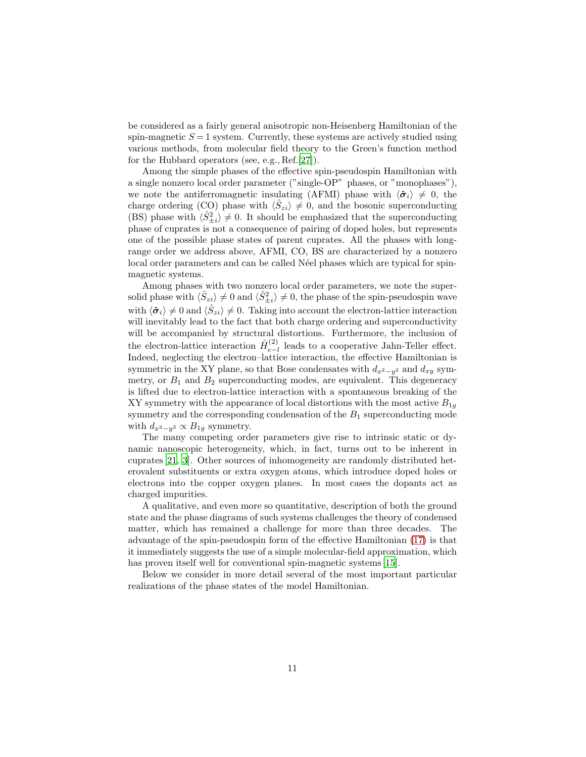be considered as a fairly general anisotropic non-Heisenberg Hamiltonian of the spin-magnetic  $S = 1$  system. Currently, these systems are actively studied using various methods, from molecular field theory to the Green's function method for the Hubbard operators (see, e.g., Ref.[\[27\]](#page-19-11)).

Among the simple phases of the effective spin-pseudospin Hamiltonian with a single nonzero local order parameter ("single-OP" phases, or "monophases"), we note the antiferromagnetic insulating (AFMI) phase with  $\langle \hat{\sigma}_i \rangle \neq 0$ , the charge ordering (CO) phase with  $\langle \hat{S}_{zi} \rangle \neq 0$ , and the bosonic superconducting (BS) phase with  $\langle \hat{S}_{\pm i}^2 \rangle \neq 0$ . It should be emphasized that the superconducting phase of cuprates is not a consequence of pairing of doped holes, but represents one of the possible phase states of parent cuprates. All the phases with longrange order we address above, AFMI, CO, BS are characterized by a nonzero local order parameters and can be called Néel phases which are typical for spinmagnetic systems.

Among phases with two nonzero local order parameters, we note the supersolid phase with  $\langle \hat{S}_{zi} \rangle \neq 0$  and  $\langle \hat{S}_{\pm i}^2 \rangle \neq 0$ , the phase of the spin-pseudospin wave with  $\langle \hat{\sigma}_i \rangle \neq 0$  and  $\langle \hat{S}_{zi} \rangle \neq 0$ . Taking into account the electron-lattice interaction will inevitably lead to the fact that both charge ordering and superconductivity will be accompanied by structural distortions. Furthermore, the inclusion of the electron-lattice interaction  $\hat{H}^{(2)}_{e-1}$  $e^{-l}$  leads to a cooperative Jahn-Teller effect. Indeed, neglecting the electron–lattice interaction, the effective Hamiltonian is symmetric in the XY plane, so that Bose condensates with  $d_{x^2-y^2}$  and  $d_{xy}$  symmetry, or  $B_1$  and  $B_2$  superconducting modes, are equivalent. This degeneracy is lifted due to electron-lattice interaction with a spontaneous breaking of the XY symmetry with the appearance of local distortions with the most active  $B_{1q}$ symmetry and the corresponding condensation of the  $B_1$  superconducting mode with  $d_{x^2-y^2} \propto B_{1g}$  symmetry.

The many competing order parameters give rise to intrinsic static or dynamic nanoscopic heterogeneity, which, in fact, turns out to be inherent in cuprates [\[21,](#page-19-5) [3\]](#page-18-2). Other sources of inhomogeneity are randomly distributed heterovalent substituents or extra oxygen atoms, which introduce doped holes or electrons into the copper oxygen planes. In most cases the dopants act as charged impurities.

A qualitative, and even more so quantitative, description of both the ground state and the phase diagrams of such systems challenges the theory of condensed matter, which has remained a challenge for more than three decades. The advantage of the spin-pseudospin form of the effective Hamiltonian [\(17\)](#page-9-0) is that it immediately suggests the use of a simple molecular-field approximation, which has proven itself well for conventional spin-magnetic systems [\[15\]](#page-18-14).

Below we consider in more detail several of the most important particular realizations of the phase states of the model Hamiltonian.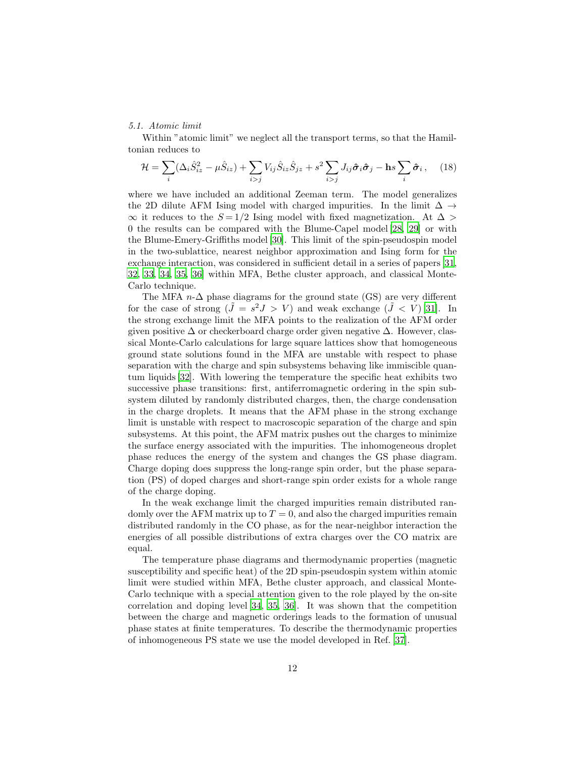## 5.1. Atomic limit

Within "atomic limit" we neglect all the transport terms, so that the Hamiltonian reduces to

$$
\mathcal{H} = \sum_{i} (\Delta_i \hat{S}_{iz}^2 - \mu \hat{S}_{iz}) + \sum_{i > j} V_{ij} \hat{S}_{iz} \hat{S}_{jz} + s^2 \sum_{i > j} J_{ij} \hat{\sigma}_i \hat{\sigma}_j - \text{h} s \sum_{i} \hat{\sigma}_i, \quad (18)
$$

where we have included an additional Zeeman term. The model generalizes the 2D dilute AFM Ising model with charged impurities. In the limit  $\Delta \rightarrow$  $\infty$  it reduces to the  $S = 1/2$  Ising model with fixed magnetization. At ∆ 0 the results can be compared with the Blume-Capel model [\[28,](#page-19-12) [29](#page-19-13)] or with the Blume-Emery-Griffiths model [\[30](#page-19-14)]. This limit of the spin-pseudospin model in the two-sublattice, nearest neighbor approximation and Ising form for the exchange interaction, was considered in sufficient detail in a series of papers [\[31,](#page-19-15) [32,](#page-19-16) [33,](#page-19-17) [34](#page-19-18), [35](#page-19-19), [36\]](#page-20-0) within MFA, Bethe cluster approach, and classical Monte-Carlo technique.

The MFA  $n-\Delta$  phase diagrams for the ground state (GS) are very different for the case of strong  $(\tilde{J} = s^2 J > V)$  and weak exchange  $(\tilde{J} < V)$  [\[31](#page-19-15)]. In the strong exchange limit the MFA points to the realization of the AFM order given positive  $\Delta$  or checkerboard charge order given negative  $\Delta$ . However, classical Monte-Carlo calculations for large square lattices show that homogeneous ground state solutions found in the MFA are unstable with respect to phase separation with the charge and spin subsystems behaving like immiscible quantum liquids [\[32](#page-19-16)]. With lowering the temperature the specific heat exhibits two successive phase transitions: first, antiferromagnetic ordering in the spin subsystem diluted by randomly distributed charges, then, the charge condensation in the charge droplets. It means that the AFM phase in the strong exchange limit is unstable with respect to macroscopic separation of the charge and spin subsystems. At this point, the AFM matrix pushes out the charges to minimize the surface energy associated with the impurities. The inhomogeneous droplet phase reduces the energy of the system and changes the GS phase diagram. Charge doping does suppress the long-range spin order, but the phase separation (PS) of doped charges and short-range spin order exists for a whole range of the charge doping.

In the weak exchange limit the charged impurities remain distributed randomly over the AFM matrix up to  $T = 0$ , and also the charged impurities remain distributed randomly in the CO phase, as for the near-neighbor interaction the energies of all possible distributions of extra charges over the CO matrix are equal.

The temperature phase diagrams and thermodynamic properties (magnetic susceptibility and specific heat) of the 2D spin-pseudospin system within atomic limit were studied within MFA, Bethe cluster approach, and classical Monte-Carlo technique with a special attention given to the role played by the on-site correlation and doping level [\[34,](#page-19-18) [35](#page-19-19), [36\]](#page-20-0). It was shown that the competition between the charge and magnetic orderings leads to the formation of unusual phase states at finite temperatures. To describe the thermodynamic properties of inhomogeneous PS state we use the model developed in Ref. [\[37\]](#page-20-1).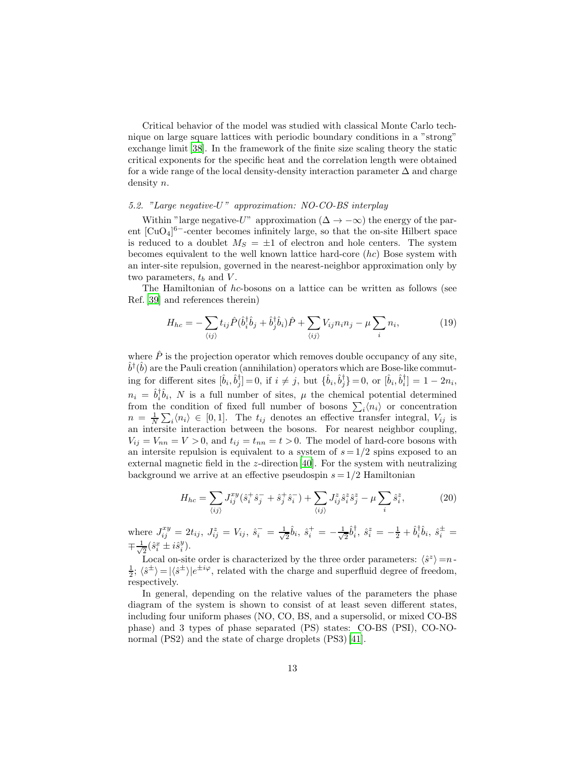Critical behavior of the model was studied with classical Monte Carlo technique on large square lattices with periodic boundary conditions in a "strong" exchange limit [\[38](#page-20-2)]. In the framework of the finite size scaling theory the static critical exponents for the specific heat and the correlation length were obtained for a wide range of the local density-density interaction parameter  $\Delta$  and charge density n.

## 5.2. "Large negative-U" approximation: NO-CO-BS interplay

Within "large negative-U" approximation ( $\Delta \rightarrow -\infty$ ) the energy of the parent  $\lbrack CuO_4 \rbrack^{6-}$ -center becomes infinitely large, so that the on-site Hilbert space is reduced to a doublet  $M_S = \pm 1$  of electron and hole centers. The system becomes equivalent to the well known lattice hard-core  $(hc)$  Bose system with an inter-site repulsion, governed in the nearest-neighbor approximation only by two parameters,  $t_b$  and  $V$ .

The Hamiltonian of hc-bosons on a lattice can be written as follows (see Ref. [\[39\]](#page-20-3) and references therein)

$$
H_{hc} = -\sum_{\langle ij \rangle} t_{ij} \hat{P} (\hat{b}_i^\dagger \hat{b}_j + \hat{b}_j^\dagger \hat{b}_i) \hat{P} + \sum_{\langle ij \rangle} V_{ij} n_i n_j - \mu \sum_i n_i, \tag{19}
$$

where  $\hat{P}$  is the projection operator which removes double occupancy of any site,  $\hat{b}^{\dagger}(\hat{b})$  are the Pauli creation (annihilation) operators which are Bose-like commuting for different sites  $[\hat{b}_i, \hat{b}_j^{\dagger}] = 0$ , if  $i \neq j$ , but  $\{\hat{b}_i, \hat{b}_j^{\dagger}\} = 0$ , or  $[\hat{b}_i, \hat{b}_i^{\dagger}] = 1 - 2n_i$ ,  $n_i = \hat{b}_i^{\dagger} \hat{b}_i$ , N is a full number of sites,  $\mu$  the chemical potential determined from the condition of fixed full number of bosons  $\sum_i \langle n_i \rangle$  or concentration  $n = \frac{1}{N} \sum_i \langle n_i \rangle \in [0, 1].$  The  $t_{ij}$  denotes an effective transfer integral,  $V_{ij}$  is an intersite interaction between the bosons. For nearest neighbor coupling,  $V_{ij} = V_{nn} = V > 0$ , and  $t_{ij} = t_{nn} = t > 0$ . The model of hard-core bosons with an intersite repulsion is equivalent to a system of  $s = 1/2$  spins exposed to an external magnetic field in the z-direction  $[40]$ . For the system with neutralizing background we arrive at an effective pseudospin  $s = 1/2$  Hamiltonian

$$
H_{hc} = \sum_{\langle ij \rangle} J_{ij}^{xy} (\hat{s}_i^+ \hat{s}_j^- + \hat{s}_j^+ \hat{s}_i^-) + \sum_{\langle ij \rangle} J_{ij}^z \hat{s}_i^z \hat{s}_j^z - \mu \sum_i \hat{s}_i^z,\tag{20}
$$

where  $J_{ij}^{xy} = 2t_{ij}, J_{ij}^{z} = V_{ij}, \hat{s}_{i}^{-} = \frac{1}{\sqrt{2}}$  $\frac{1}{2}\hat{b}_{i}, \hat{s}_{i}^{+}=-\frac{1}{\sqrt{2}}$  $\frac{1}{2}\hat{b}^{\dagger}_{i}, \ \hat{s}^{z}_{i} = -\frac{1}{2} + \hat{b}^{\dagger}_{i}\hat{b}_{i}, \ \hat{s}^{\pm}_{i} =$  $\mp \frac{1}{\sqrt{2}}$  $\frac{1}{2}(\hat{s}_{i}^{x} \pm i\hat{s}_{i}^{y}).$ 

Local on-site order is characterized by the three order parameters:  $\langle \hat{s}^z \rangle = n$  $\frac{1}{2}$ ;  $\langle \hat{s}^{\pm} \rangle = |\langle \hat{s}^{\pm} \rangle|e^{\pm i\varphi}$ , related with the charge and superfluid degree of freedom, respectively.

In general, depending on the relative values of the parameters the phase diagram of the system is shown to consist of at least seven different states, including four uniform phases (NO, CO, BS, and a supersolid, or mixed CO-BS phase) and 3 types of phase separated (PS) states: CO-BS (PSI), CO-NO-normal (PS2) and the state of charge droplets (PS3) [\[41](#page-20-5)].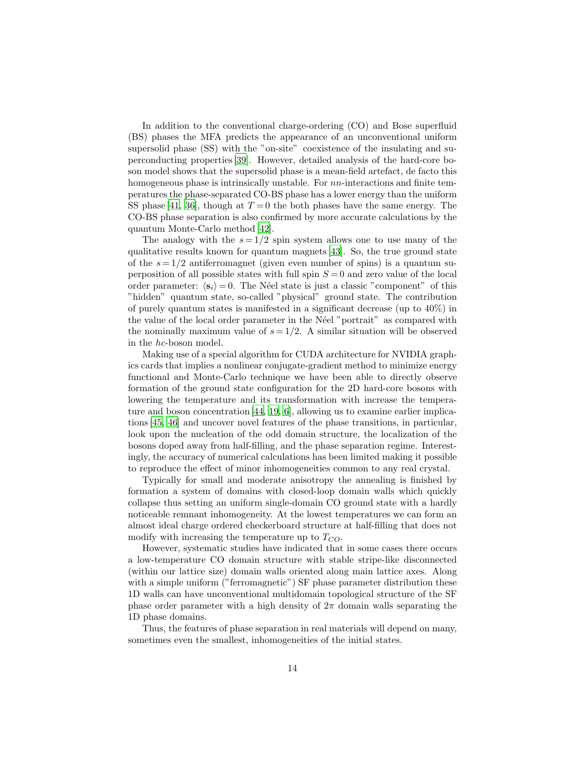In addition to the conventional charge-ordering (CO) and Bose superfluid (BS) phases the MFA predicts the appearance of an unconventional uniform supersolid phase (SS) with the "on-site" coexistence of the insulating and superconducting properties [\[39](#page-20-3)]. However, detailed analysis of the hard-core boson model shows that the supersolid phase is a mean-field artefact, de facto this homogeneous phase is intrinsically unstable. For  $nn$ -interactions and finite temperatures the phase-separated CO-BS phase has a lower energy than the uniform SS phase [\[41](#page-20-5), [36\]](#page-20-0), though at  $T=0$  the both phases have the same energy. The CO-BS phase separation is also confirmed by more accurate calculations by the quantum Monte-Carlo method [\[42](#page-20-6)].

The analogy with the  $s = 1/2$  spin system allows one to use many of the qualitative results known for quantum magnets [\[43\]](#page-20-7). So, the true ground state of the  $s = 1/2$  antiferromagnet (given even number of spins) is a quantum superposition of all possible states with full spin  $S = 0$  and zero value of the local order parameter:  $\langle s_i \rangle = 0$ . The Néel state is just a classic "component" of this "hidden" quantum state, so-called "physical" ground state. The contribution of purely quantum states is manifested in a significant decrease (up to 40%) in the value of the local order parameter in the Neel "portrait" as compared with the nominally maximum value of  $s = 1/2$ . A similar situation will be observed in the hc-boson model.

Making use of a special algorithm for CUDA architecture for NVIDIA graphics cards that implies a nonlinear conjugate-gradient method to minimize energy functional and Monte-Carlo technique we have been able to directly observe formation of the ground state configuration for the 2D hard-core bosons with lowering the temperature and its transformation with increase the temperature and boson concentration [\[44](#page-20-8), [19](#page-19-3), [6\]](#page-18-5), allowing us to examine earlier implications [\[45](#page-20-9), [46\]](#page-20-10) and uncover novel features of the phase transitions, in particular, look upon the nucleation of the odd domain structure, the localization of the bosons doped away from half-filling, and the phase separation regime. Interestingly, the accuracy of numerical calculations has been limited making it possible to reproduce the effect of minor inhomogeneities common to any real crystal.

Typically for small and moderate anisotropy the annealing is finished by formation a system of domains with closed-loop domain walls which quickly collapse thus setting an uniform single-domain CO ground state with a hardly noticeable remnant inhomogeneity. At the lowest temperatures we can form an almost ideal charge ordered checkerboard structure at half-filling that does not modify with increasing the temperature up to  $T_{CO}$ .

However, systematic studies have indicated that in some cases there occurs a low-temperature CO domain structure with stable stripe-like disconnected (within our lattice size) domain walls oriented along main lattice axes. Along with a simple uniform ("ferromagnetic") SF phase parameter distribution these 1D walls can have unconventional multidomain topological structure of the SF phase order parameter with a high density of  $2\pi$  domain walls separating the 1D phase domains.

Thus, the features of phase separation in real materials will depend on many, sometimes even the smallest, inhomogeneities of the initial states.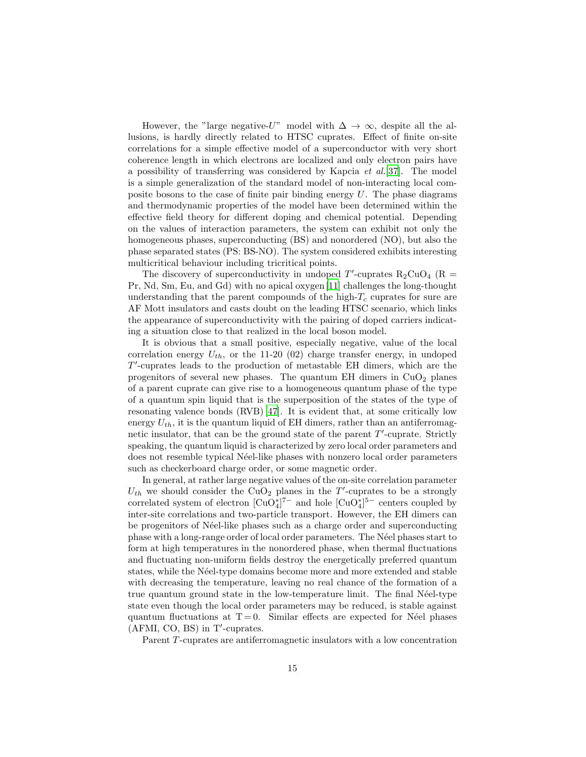However, the "large negative-U" model with  $\Delta \to \infty$ , despite all the allusions, is hardly directly related to HTSC cuprates. Effect of finite on-site correlations for a simple effective model of a superconductor with very short coherence length in which electrons are localized and only electron pairs have a possibility of transferring was considered by Kapcia  $et \ al. [37]$  $et \ al. [37]$  $et \ al. [37]$ . The model is a simple generalization of the standard model of non-interacting local composite bosons to the case of finite pair binding energy  $U$ . The phase diagrams and thermodynamic properties of the model have been determined within the effective field theory for different doping and chemical potential. Depending on the values of interaction parameters, the system can exhibit not only the homogeneous phases, superconducting (BS) and nonordered (NO), but also the phase separated states (PS: BS-NO). The system considered exhibits interesting multicritical behaviour including tricritical points.

The discovery of superconductivity in undoped  $T'$ -cuprates  $R_2CuO_4$  ( $R =$ Pr, Nd, Sm, Eu, and Gd) with no apical oxygen [\[11\]](#page-18-10) challenges the long-thought understanding that the parent compounds of the high- $T_c$  cuprates for sure are AF Mott insulators and casts doubt on the leading HTSC scenario, which links the appearance of superconductivity with the pairing of doped carriers indicating a situation close to that realized in the local boson model.

It is obvious that a small positive, especially negative, value of the local correlation energy  $U_{th}$ , or the 11-20 (02) charge transfer energy, in undoped T ′ -cuprates leads to the production of metastable EH dimers, which are the progenitors of several new phases. The quantum EH dimers in  $CuO<sub>2</sub>$  planes of a parent cuprate can give rise to a homogeneous quantum phase of the type of a quantum spin liquid that is the superposition of the states of the type of resonating valence bonds (RVB) [\[47\]](#page-20-11). It is evident that, at some critically low energy  $U_{th}$ , it is the quantum liquid of EH dimers, rather than an antiferromagnetic insulator, that can be the ground state of the parent  $T'$ -cuprate. Strictly speaking, the quantum liquid is characterized by zero local order parameters and does not resemble typical Néel-like phases with nonzero local order parameters such as checkerboard charge order, or some magnetic order.

In general, at rather large negative values of the on-site correlation parameter  $U_{th}$  we should consider the CuO<sub>2</sub> planes in the T'-cuprates to be a strongly correlated system of electron  $\left[\text{CuO}_4^*\right]^{7-}$  and hole  $\left[\text{CuO}_4^*\right]^{5-}$  centers coupled by inter-site correlations and two-particle transport. However, the EH dimers can be progenitors of N´eel-like phases such as a charge order and superconducting phase with a long-range order of local order parameters. The N´eel phases start to form at high temperatures in the nonordered phase, when thermal fluctuations and fluctuating non-uniform fields destroy the energetically preferred quantum states, while the Néel-type domains become more and more extended and stable with decreasing the temperature, leaving no real chance of the formation of a true quantum ground state in the low-temperature limit. The final Néel-type state even though the local order parameters may be reduced, is stable against quantum fluctuations at  $T = 0$ . Similar effects are expected for N'eel phases (AFMI, CO, BS) in T′ -cuprates.

Parent T-cuprates are antiferromagnetic insulators with a low concentration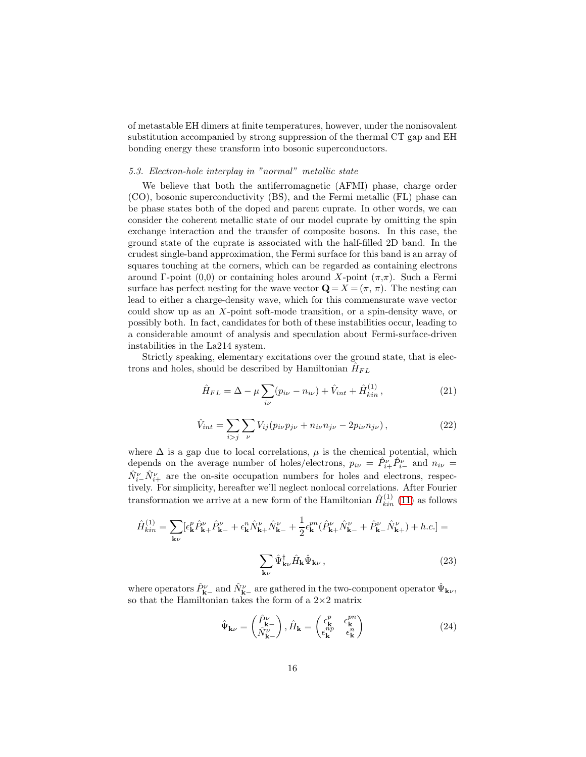of metastable EH dimers at finite temperatures, however, under the nonisovalent substitution accompanied by strong suppression of the thermal CT gap and EH bonding energy these transform into bosonic superconductors.

#### 5.3. Electron-hole interplay in "normal" metallic state

We believe that both the antiferromagnetic (AFMI) phase, charge order (CO), bosonic superconductivity (BS), and the Fermi metallic (FL) phase can be phase states both of the doped and parent cuprate. In other words, we can consider the coherent metallic state of our model cuprate by omitting the spin exchange interaction and the transfer of composite bosons. In this case, the ground state of the cuprate is associated with the half-filled 2D band. In the crudest single-band approximation, the Fermi surface for this band is an array of squares touching at the corners, which can be regarded as containing electrons around Γ-point (0,0) or containing holes around X-point  $(\pi,\pi)$ . Such a Fermi surface has perfect nesting for the wave vector  $\mathbf{Q} = X = (\pi, \pi)$ . The nesting can lead to either a charge-density wave, which for this commensurate wave vector could show up as an X-point soft-mode transition, or a spin-density wave, or possibly both. In fact, candidates for both of these instabilities occur, leading to a considerable amount of analysis and speculation about Fermi-surface-driven instabilities in the La214 system.

Strictly speaking, elementary excitations over the ground state, that is electrons and holes, should be described by Hamiltonian  $\hat{H}_{FL}$ 

$$
\hat{H}_{FL} = \Delta - \mu \sum_{i\nu} (p_{i\nu} - n_{i\nu}) + \hat{V}_{int} + \hat{H}_{kin}^{(1)},
$$
\n(21)

$$
\hat{V}_{int} = \sum_{i > j} \sum_{\nu} V_{ij} (p_{i\nu} p_{j\nu} + n_{i\nu} n_{j\nu} - 2p_{i\nu} n_{j\nu}), \qquad (22)
$$

where  $\Delta$  is a gap due to local correlations,  $\mu$  is the chemical potential, which depends on the average number of holes/electrons,  $p_{i\nu} = \hat{P}^{\nu}_{i+} \hat{P}^{\nu}_{i-}$  and  $n_{i\nu} =$  $\hat{N}_{i-}^{\nu} \hat{N}_{i+}^{\nu}$  are the on-site occupation numbers for holes and electrons, respectively. For simplicity, hereafter we'll neglect nonlocal correlations. After Fourier transformation we arrive at a new form of the Hamiltonian  $\hat{H}^{(1)}_{kin}$  [\(11\)](#page-6-1) as follows

$$
\hat{H}_{kin}^{(1)} = \sum_{\mathbf{k}\nu} [\epsilon_{\mathbf{k}}^{p} \hat{P}_{\mathbf{k}+}^{\nu} \hat{P}_{\mathbf{k}-}^{\nu} + \epsilon_{\mathbf{k}}^{n} \hat{N}_{\mathbf{k}+}^{\nu} \hat{N}_{\mathbf{k}-}^{\nu} + \frac{1}{2} \epsilon_{\mathbf{k}}^{pn} (\hat{P}_{\mathbf{k}+}^{\nu} \hat{N}_{\mathbf{k}-}^{\nu} + \hat{P}_{\mathbf{k}-}^{\nu} \hat{N}_{\mathbf{k}+}^{\nu}) + h.c.] =
$$
\n
$$
\sum_{\mathbf{k}\nu} \hat{\Psi}_{\mathbf{k}\nu}^{\dagger} \hat{H}_{\mathbf{k}} \hat{\Psi}_{\mathbf{k}\nu} ,
$$
\n(23)

where operators  $\hat{P}_{\mathbf{k}-}^{\nu}$  and  $\hat{N}_{\mathbf{k}-}^{\nu}$  are gathered in the two-component operator  $\hat{\Psi}_{\mathbf{k}\nu}$ , so that the Hamiltonian takes the form of a  $2\times 2$  matrix

$$
\hat{\Psi}_{\mathbf{k}\nu} = \begin{pmatrix} \hat{P}_{\mathbf{k}}^{\nu} \\ \hat{N}_{\mathbf{k}-}^{\nu} \end{pmatrix}, \hat{H}_{\mathbf{k}} = \begin{pmatrix} \epsilon_{\mathbf{k}}^{p} & \epsilon_{\mathbf{k}}^{pn} \\ \epsilon_{\mathbf{k}}^{np} & \epsilon_{\mathbf{k}}^{n} \end{pmatrix}
$$
(24)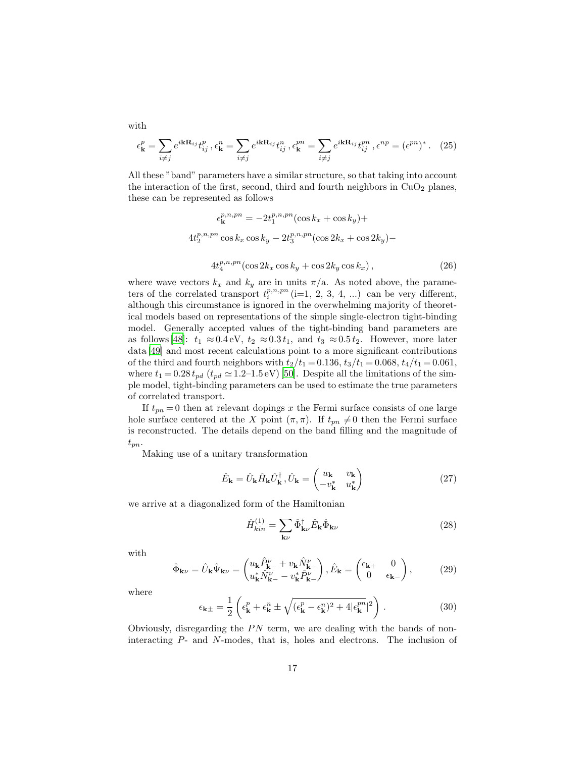$$
\epsilon_{\mathbf{k}}^p = \sum_{i \neq j} e^{i\mathbf{k}\mathbf{R}_{ij}} t_{ij}^p, \epsilon_{\mathbf{k}}^n = \sum_{i \neq j} e^{i\mathbf{k}\mathbf{R}_{ij}} t_{ij}^n, \epsilon_{\mathbf{k}}^{pn} = \sum_{i \neq j} e^{i\mathbf{k}\mathbf{R}_{ij}} t_{ij}^{pn}, \epsilon^{np} = (\epsilon^{pn})^*.
$$
 (25)

All these "band" parameters have a similar structure, so that taking into account the interaction of the first, second, third and fourth neighbors in  $CuO<sub>2</sub>$  planes, these can be represented as follows

$$
\epsilon_{\mathbf{k}}^{p,n,pn} = -2t_1^{p,n,pn}(\cos k_x + \cos k_y) +
$$
  

$$
4t_2^{p,n,pn} \cos k_x \cos k_y - 2t_3^{p,n,pn}(\cos 2k_x + \cos 2k_y) -
$$
  

$$
4t_4^{p,n,pn}(\cos 2k_x \cos k_y + \cos 2k_y \cos k_x),
$$
 (26)

where wave vectors  $k_x$  and  $k_y$  are in units  $\pi/a$ . As noted above, the parameters of the correlated transport  $t_i^{p,n,pn}$  (i=1, 2, 3, 4, ...) can be very different, although this circumstance is ignored in the overwhelming majority of theoretical models based on representations of the simple single-electron tight-binding model. Generally accepted values of the tight-binding band parameters are as follows [\[48\]](#page-20-12):  $t_1 \approx 0.4 \text{ eV}$ ,  $t_2 \approx 0.3 t_1$ , and  $t_3 \approx 0.5 t_2$ . However, more later data [\[49\]](#page-20-13) and most recent calculations point to a more significant contributions of the third and fourth neighbors with  $t_2/t_1 = 0.136$ ,  $t_3/t_1 = 0.068$ ,  $t_4/t_1 = 0.061$ , where  $t_1 = 0.28 t_{pd}$  ( $t_{pd} \approx 1.2$ –1.5 eV) [\[50\]](#page-20-14). Despite all the limitations of the simple model, tight-binding parameters can be used to estimate the true parameters of correlated transport.

If  $t_{pn} = 0$  then at relevant dopings x the Fermi surface consists of one large hole surface centered at the X point  $(\pi, \pi)$ . If  $t_{pn} \neq 0$  then the Fermi surface is reconstructed. The details depend on the band filling and the magnitude of  $t_{pn}$ 

Making use of a unitary transformation

$$
\hat{E}_{\mathbf{k}} = \hat{U}_{\mathbf{k}} \hat{H}_{\mathbf{k}} \hat{U}_{\mathbf{k}}^{\dagger}, \hat{U}_{\mathbf{k}} = \begin{pmatrix} u_{\mathbf{k}} & v_{\mathbf{k}} \\ -v_{\mathbf{k}}^* & u_{\mathbf{k}}^* \end{pmatrix}
$$
(27)

we arrive at a diagonalized form of the Hamiltonian

$$
\hat{H}_{kin}^{(1)} = \sum_{\mathbf{k}\nu} \hat{\Phi}_{\mathbf{k}\nu}^{\dagger} \hat{E}_{\mathbf{k}} \hat{\Phi}_{\mathbf{k}\nu}
$$
\n(28)

with

$$
\hat{\Phi}_{\mathbf{k}\nu} = \hat{U}_{\mathbf{k}} \hat{\Psi}_{\mathbf{k}\nu} = \begin{pmatrix} u_{\mathbf{k}} \hat{P}_{\mathbf{k}^{-}}^{\nu} + v_{\mathbf{k}} \hat{N}_{\mathbf{k}^{-}}^{\nu} \\ u_{\mathbf{k}}^{*} \hat{N}_{\mathbf{k}^{-}}^{\nu} - v_{\mathbf{k}}^{*} \hat{P}_{\mathbf{k}^{-}}^{\nu} \end{pmatrix}, \hat{E}_{\mathbf{k}} = \begin{pmatrix} \epsilon_{\mathbf{k}^{+}} & 0 \\ 0 & \epsilon_{\mathbf{k}^{-}} \end{pmatrix},
$$
(29)

where

$$
\epsilon_{\mathbf{k}\pm} = \frac{1}{2} \left( \epsilon_{\mathbf{k}}^p + \epsilon_{\mathbf{k}}^n \pm \sqrt{(\epsilon_{\mathbf{k}}^p - \epsilon_{\mathbf{k}}^n)^2 + 4|\epsilon_{\mathbf{k}}^{pn}|^2} \right) . \tag{30}
$$

Obviously, disregarding the  $PN$  term, we are dealing with the bands of noninteracting P- and N-modes, that is, holes and electrons. The inclusion of

with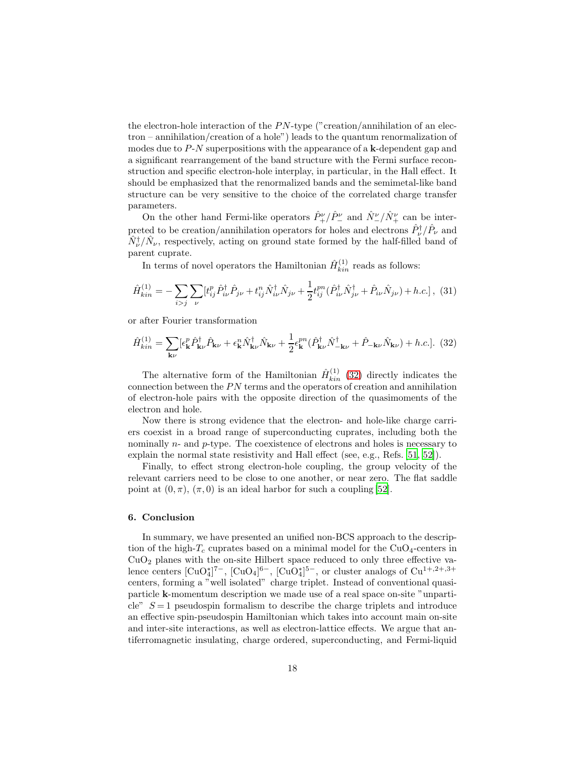the electron-hole interaction of the  $PN$ -type ("creation/annihilation of an electron – annihilation/creation of a hole") leads to the quantum renormalization of modes due to  $P-N$  superpositions with the appearance of a k-dependent gap and a significant rearrangement of the band structure with the Fermi surface reconstruction and specific electron-hole interplay, in particular, in the Hall effect. It should be emphasized that the renormalized bands and the semimetal-like band structure can be very sensitive to the choice of the correlated charge transfer parameters.

On the other hand Fermi-like operators  $\hat{P}^{\nu}_{+}/\hat{P}^{\nu}_{-}$  and  $\hat{N}^{\nu}_{-}/\hat{N}^{\nu}_{+}$  can be interpreted to be creation/annihilation operators for holes and electrons  $\hat{P}^{\dagger}_{\nu}/\hat{P}_{\nu}$  and  $\hat{N}_{\nu}^{\dagger}/\hat{N}_{\nu}$ , respectively, acting on ground state formed by the half-filled band of parent cuprate.

In terms of novel operators the Hamiltonian  $\hat{H}^{(1)}_{kin}$  reads as follows:

$$
\hat{H}^{(1)}_{kin} = -\sum_{i>j} \sum_{\nu} [t^p_{ij} \hat{P}^{\dagger}_{i\nu} \hat{P}_{j\nu} + t^n_{ij} \hat{N}^{\dagger}_{i\nu} \hat{N}_{j\nu} + \frac{1}{2} t^{pn}_{ij} (\hat{P}^{\dagger}_{i\nu} \hat{N}^{\dagger}_{j\nu} + \hat{P}_{i\nu} \hat{N}_{j\nu}) + h.c.],
$$
 (31)

or after Fourier transformation

<span id="page-17-0"></span>
$$
\hat{H}_{kin}^{(1)} = \sum_{\mathbf{k}\nu} [\epsilon_{\mathbf{k}}^p \hat{P}_{\mathbf{k}\nu}^\dagger \hat{P}_{\mathbf{k}\nu} + \epsilon_{\mathbf{k}}^n \hat{N}_{\mathbf{k}\nu}^\dagger \hat{N}_{\mathbf{k}\nu} + \frac{1}{2} \epsilon_{\mathbf{k}}^{pn} (\hat{P}_{\mathbf{k}\nu}^\dagger \hat{N}_{-\mathbf{k}\nu}^\dagger + \hat{P}_{-\mathbf{k}\nu} \hat{N}_{\mathbf{k}\nu}) + h.c.].
$$
 (32)

The alternative form of the Hamiltonian  $\hat{H}^{(1)}_{kin}$  [\(32\)](#page-17-0) directly indicates the connection between the  $PN$  terms and the operators of creation and annihilation of electron-hole pairs with the opposite direction of the quasimoments of the electron and hole.

Now there is strong evidence that the electron- and hole-like charge carriers coexist in a broad range of superconducting cuprates, including both the nominally n- and p-type. The coexistence of electrons and holes is necessary to explain the normal state resistivity and Hall effect (see, e.g., Refs. [\[51](#page-20-15), [52](#page-20-16)]).

Finally, to effect strong electron-hole coupling, the group velocity of the relevant carriers need to be close to one another, or near zero. The flat saddle point at  $(0, \pi)$ ,  $(\pi, 0)$  is an ideal harbor for such a coupling [\[52\]](#page-20-16).

#### 6. Conclusion

In summary, we have presented an unified non-BCS approach to the description of the high- $T_c$  cuprates based on a minimal model for the CuO<sub>4</sub>-centers in  $CuO<sub>2</sub>$  planes with the on-site Hilbert space reduced to only three effective valence centers  $[\text{CuO}_4^*]^{7-}$ ,  $[\text{CuO}_4]^{6-}$ ,  $[\text{CuO}_4^*]^{5-}$ , or cluster analogs of  $\text{Cu}^{1+,2+,3+}$ centers, forming a "well isolated" charge triplet. Instead of conventional quasiparticle k-momentum description we made use of a real space on-site "unparticle"  $S = 1$  pseudospin formalism to describe the charge triplets and introduce an effective spin-pseudospin Hamiltonian which takes into account main on-site and inter-site interactions, as well as electron-lattice effects. We argue that antiferromagnetic insulating, charge ordered, superconducting, and Fermi-liquid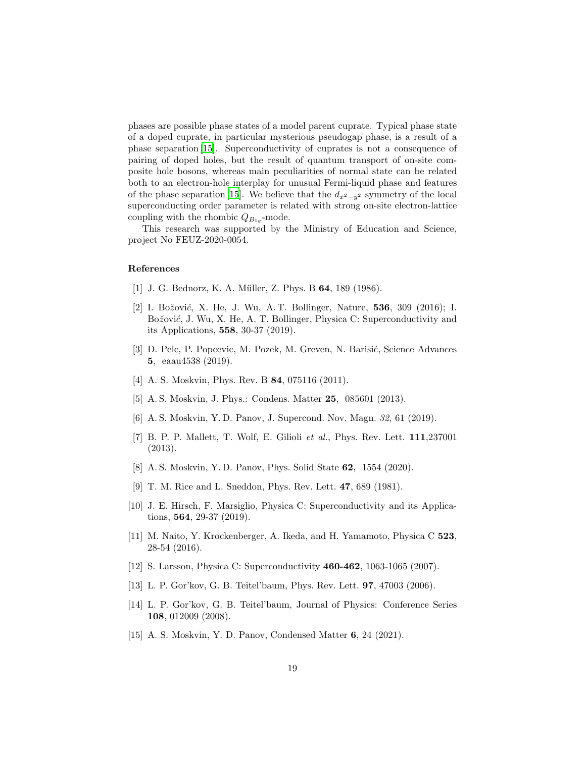phases are possible phase states of a model parent cuprate. Typical phase state of a doped cuprate, in particular mysterious pseudogap phase, is a result of a phase separation [\[15\]](#page-18-14). Superconductivity of cuprates is not a consequence of pairing of doped holes, but the result of quantum transport of on-site composite hole bosons, whereas main peculiarities of normal state can be related both to an electron-hole interplay for unusual Fermi-liquid phase and features of the phase separation [\[15\]](#page-18-14). We believe that the  $d_{x^2-y^2}$  symmetry of the local superconducting order parameter is related with strong on-site electron-lattice coupling with the rhombic  $Q_{B_{1g}}$ -mode.

This research was supported by the Ministry of Education and Science, project No FEUZ-2020-0054.

## References

- <span id="page-18-0"></span>[1] J. G. Bednorz, K. A. Müller, Z. Phys. B 64, 189 (1986).
- <span id="page-18-1"></span>[2] I. Božović, X. He, J. Wu, A. T. Bollinger, Nature,  $536, 309$  (2016); I. Božović, J. Wu, X. He, A. T. Bollinger, Physica C: Superconductivity and its Applications, 558, 30-37 (2019).
- <span id="page-18-2"></span>[3] D. Pelc, P. Popcevic, M. Pozek, M. Greven, N. Barišić, Science Advances 5, eaau4538 (2019).
- <span id="page-18-3"></span>[4] A. S. Moskvin, Phys. Rev. B **84**, 075116 (2011).
- <span id="page-18-4"></span>[5] A. S. Moskvin, J. Phys.: Condens. Matter 25, 085601 (2013).
- <span id="page-18-5"></span>[6] A. S. Moskvin, Y. D. Panov, J. Supercond. Nov. Magn. 32, 61 (2019).
- <span id="page-18-6"></span>[7] B. P. P. Mallett, T. Wolf, E. Gilioli et al., Phys. Rev. Lett. 111,237001 (2013).
- <span id="page-18-7"></span>[8] A. S. Moskvin, Y. D. Panov, Phys. Solid State 62, 1554 (2020).
- <span id="page-18-8"></span>[9] T. M. Rice and L. Sneddon, Phys. Rev. Lett. 47, 689 (1981).
- <span id="page-18-9"></span>[10] J. E. Hirsch, F. Marsiglio, Physica C: Superconductivity and its Applications, 564, 29-37 (2019).
- <span id="page-18-10"></span>[11] M. Naito, Y. Krockenberger, A. Ikeda, and H. Yamamoto, Physica C 523, 28-54 (2016).
- <span id="page-18-11"></span>[12] S. Larsson, Physica C: Superconductivity 460-462, 1063-1065 (2007).
- <span id="page-18-12"></span>[13] L. P. Gor'kov, G. B. Teitel'baum, Phys. Rev. Lett. 97, 47003 (2006).
- <span id="page-18-13"></span>[14] L. P. Gor'kov, G. B. Teitel'baum, Journal of Physics: Conference Series 108, 012009 (2008).
- <span id="page-18-14"></span>[15] A. S. Moskvin, Y. D. Panov, Condensed Matter 6, 24 (2021).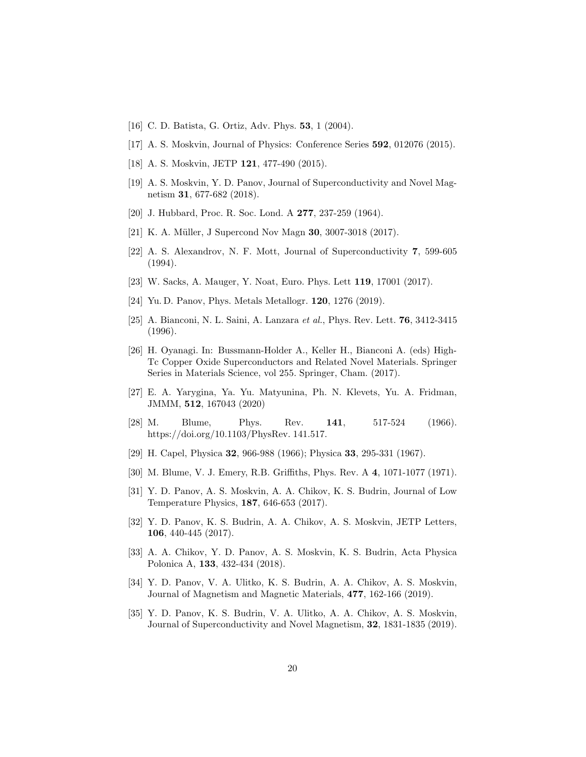- <span id="page-19-0"></span>[16] C. D. Batista, G. Ortiz, Adv. Phys. 53, 1 (2004).
- <span id="page-19-1"></span>[17] A. S. Moskvin, Journal of Physics: Conference Series 592, 012076 (2015).
- <span id="page-19-2"></span>[18] A. S. Moskvin, JETP 121, 477-490 (2015).
- <span id="page-19-3"></span>[19] A. S. Moskvin, Y. D. Panov, Journal of Superconductivity and Novel Magnetism 31, 677-682 (2018).
- <span id="page-19-4"></span>[20] J. Hubbard, Proc. R. Soc. Lond. A 277, 237-259 (1964).
- <span id="page-19-5"></span>[21] K. A. Müller, J Supercond Nov Magn **30**, 3007-3018 (2017).
- <span id="page-19-6"></span>[22] A. S. Alexandrov, N. F. Mott, Journal of Superconductivity 7, 599-605 (1994).
- <span id="page-19-7"></span>[23] W. Sacks, A. Mauger, Y. Noat, Euro. Phys. Lett 119, 17001 (2017).
- <span id="page-19-8"></span>[24] Yu. D. Panov, Phys. Metals Metallogr. **120**, 1276 (2019).
- <span id="page-19-9"></span>[25] A. Bianconi, N. L. Saini, A. Lanzara et al., Phys. Rev. Lett. 76, 3412-3415 (1996).
- <span id="page-19-10"></span>[26] H. Oyanagi. In: Bussmann-Holder A., Keller H., Bianconi A. (eds) High-Tc Copper Oxide Superconductors and Related Novel Materials. Springer Series in Materials Science, vol 255. Springer, Cham. (2017).
- <span id="page-19-11"></span>[27] E. A. Yarygina, Ya. Yu. Matyunina, Ph. N. Klevets, Yu. A. Fridman, JMMM, 512, 167043 (2020)
- <span id="page-19-12"></span>[28] M. Blume, Phys. Rev. 141, 517-524 (1966). https://doi.org/10.1103/PhysRev. 141.517.
- <span id="page-19-13"></span>[29] H. Capel, Physica 32, 966-988 (1966); Physica 33, 295-331 (1967).
- <span id="page-19-14"></span>[30] M. Blume, V. J. Emery, R.B. Griffiths, Phys. Rev. A 4, 1071-1077 (1971).
- <span id="page-19-15"></span>[31] Y. D. Panov, A. S. Moskvin, A. A. Chikov, K. S. Budrin, Journal of Low Temperature Physics, 187, 646-653 (2017).
- <span id="page-19-16"></span>[32] Y. D. Panov, K. S. Budrin, A. A. Chikov, A. S. Moskvin, JETP Letters, 106, 440-445 (2017).
- <span id="page-19-17"></span>[33] A. A. Chikov, Y. D. Panov, A. S. Moskvin, K. S. Budrin, Acta Physica Polonica A, 133, 432-434 (2018).
- <span id="page-19-18"></span>[34] Y. D. Panov, V. A. Ulitko, K. S. Budrin, A. A. Chikov, A. S. Moskvin, Journal of Magnetism and Magnetic Materials, 477, 162-166 (2019).
- <span id="page-19-19"></span>[35] Y. D. Panov, K. S. Budrin, V. A. Ulitko, A. A. Chikov, A. S. Moskvin, Journal of Superconductivity and Novel Magnetism, 32, 1831-1835 (2019).